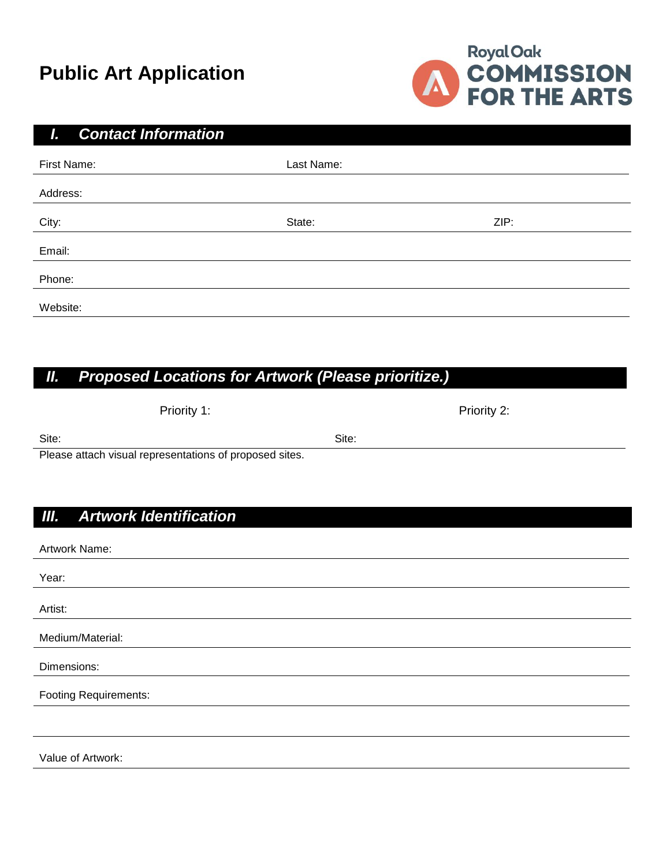# **Public Art Application**



#### *I. Contact Information*

| First Name: | Last Name: |      |
|-------------|------------|------|
| Address:    |            |      |
| City:       | State:     | ZIP: |
| Email:      |            |      |
| Phone:      |            |      |
| Website:    |            |      |

# *II. Proposed Locations for Artwork (Please prioritize.)*

| Site:<br>Site:<br>Please attach visual representations of proposed sites. | Priority 1: | Priority 2: |  |
|---------------------------------------------------------------------------|-------------|-------------|--|
|                                                                           |             |             |  |
|                                                                           |             |             |  |

### *III. Artwork Identification*

Value of Artwork:

| Artwork Name:                |
|------------------------------|
| Year:                        |
|                              |
| Artist:                      |
| Medium/Material:             |
| Dimensions:                  |
| <b>Footing Requirements:</b> |
|                              |
|                              |